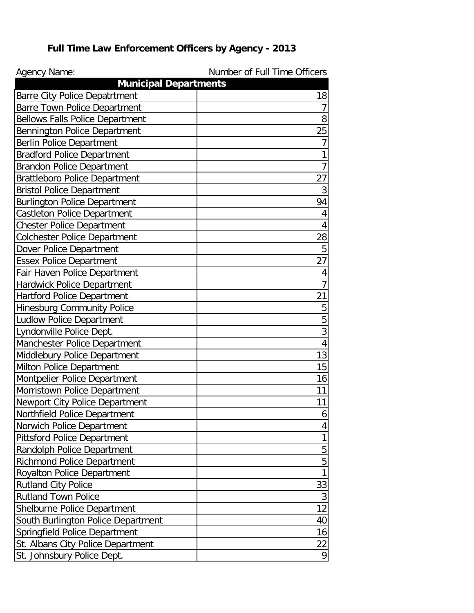## **Full Time Law Enforcement Officers by Agency - 2013**

| <b>Agency Name:</b>                                                    | Number of Full Time Officers |
|------------------------------------------------------------------------|------------------------------|
| <b>Municipal Departments</b>                                           | 18                           |
| <b>Barre City Police Depatrtment</b>                                   | 7                            |
| Barre Town Police Department<br><b>Bellows Falls Police Department</b> | 8                            |
|                                                                        | 25                           |
| Bennington Police Department                                           | 7                            |
| <b>Berlin Police Department</b>                                        |                              |
| <b>Bradford Police Department</b>                                      | 1<br>$\overline{7}$          |
| <b>Brandon Police Department</b>                                       |                              |
| <b>Brattleboro Police Department</b>                                   | 27                           |
| <b>Bristol Police Department</b>                                       | $\overline{3}$               |
| <b>Burlington Police Department</b>                                    | 94                           |
| <b>Castleton Police Department</b>                                     | 4                            |
| <b>Chester Police Department</b>                                       | 4                            |
| <b>Colchester Police Department</b>                                    | 28                           |
| Dover Police Department                                                | 5                            |
| <b>Essex Police Department</b>                                         | 27                           |
| Fair Haven Police Department                                           | 4                            |
| Hardwick Police Department                                             | $\overline{7}$               |
| <b>Hartford Police Department</b>                                      | 21                           |
| <b>Hinesburg Community Police</b>                                      | 5                            |
| <b>Ludlow Police Department</b>                                        | 5                            |
| Lyndonville Police Dept.                                               | 3                            |
| Manchester Police Department                                           | 4                            |
| Middlebury Police Department                                           | 13                           |
| Milton Police Department                                               | 15                           |
| Montpelier Police Department                                           | 16                           |
| Morristown Police Department                                           | 11                           |
| Newport City Police Department                                         | 11                           |
| Northfield Police Department                                           | 6                            |
| Norwich Police Department                                              | 4                            |
| <b>Pittsford Police Department</b>                                     | 1                            |
| Randolph Police Department                                             | 5                            |
| <b>Richmond Police Department</b>                                      | 5                            |
| <b>Royalton Police Department</b>                                      | 1                            |
| <b>Rutland City Police</b>                                             | 33                           |
| <b>Rutland Town Police</b>                                             | 3                            |
| Shelburne Police Department                                            | 12                           |
| South Burlington Police Department                                     | 40                           |
| Springfield Police Department                                          | 16                           |
| St. Albans City Police Department                                      | 22                           |
| St. Johnsbury Police Dept.                                             | 9                            |